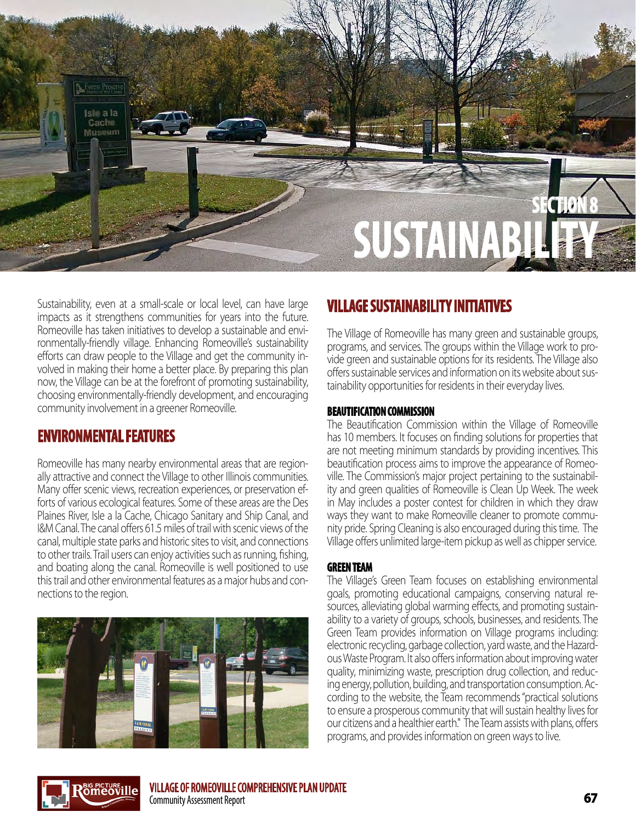

Sustainability, even at a small-scale or local level, can have large impacts as it strengthens communities for years into the future. Romeoville has taken initiatives to develop a sustainable and environmentally-friendly village. Enhancing Romeoville's sustainability efforts can draw people to the Village and get the community involved in making their home a better place. By preparing this plan now, the Village can be at the forefront of promoting sustainability, choosing environmentally-friendly development, and encouraging community involvement in a greener Romeoville.

### **ENVIRONMENTAL FEATURES**

Romeoville has many nearby environmental areas that are regionally attractive and connect the Village to other Illinois communities. Many offer scenic views, recreation experiences, or preservation efforts of various ecological features. Some of these areas are the Des Plaines River, Isle a la Cache, Chicago Sanitary and Ship Canal, and I&M Canal. The canal offers 61.5 miles of trail with scenic views of the canal, multiple state parks and historic sites to visit, and connections to other trails. Trail users can enjoy activities such as running, fishing, and boating along the canal. Romeoville is well positioned to use this trail and other environmental features as a major hubs and connections to the region.



## **VILLAGE SUSTAINABILITY INITIATIVES**

The Village of Romeoville has many green and sustainable groups, programs, and services. The groups within the Village work to provide green and sustainable options for its residents. The Village also offers sustainable services and information on its website about sustainability opportunities for residents in their everyday lives.

#### **BEAUTIFICATION COMMISSION**

The Beautification Commission within the Village of Romeoville has 10 members. It focuses on finding solutions for properties that are not meeting minimum standards by providing incentives. This beautification process aims to improve the appearance of Romeoville. The Commission's major project pertaining to the sustainability and green qualities of Romeoville is Clean Up Week. The week in May includes a poster contest for children in which they draw ways they want to make Romeoville cleaner to promote community pride. Spring Cleaning is also encouraged during this time. The Village offers unlimited large-item pickup as well as chipper service.

#### **GREEN TEAM**

The Village's Green Team focuses on establishing environmental goals, promoting educational campaigns, conserving natural resources, alleviating global warming effects, and promoting sustainability to a variety of groups, schools, businesses, and residents. The Green Team provides information on Village programs including: electronic recycling, garbage collection, yard waste, and the Hazardous Waste Program. It also offers information about improving water quality, minimizing waste, prescription drug collection, and reducing energy, pollution, building, and transportation consumption. According to the website, the Team recommends "practical solutions to ensure a prosperous community that will sustain healthy lives for our citizens and a healthier earth." The Team assists with plans, offers programs, and provides information on green ways to live.